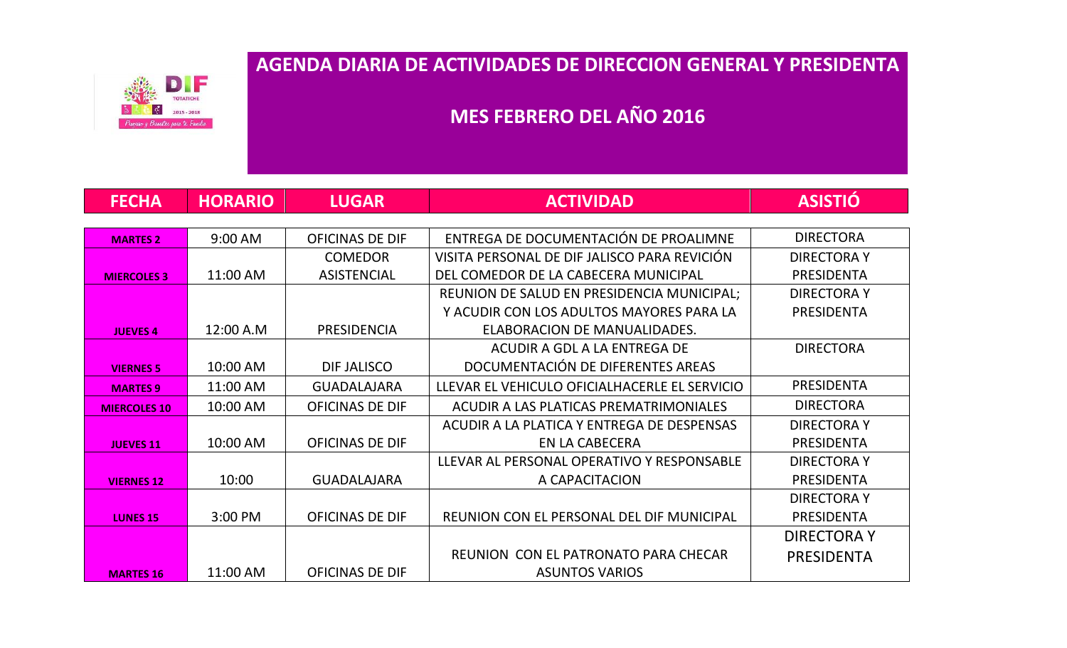DI F **OTATICHE** 1015 - 2018 nestar para tu Familia

## **AGENDA DIARIA DE ACTIVIDADES DE DIRECCION GENERAL Y PRESIDENTA**

## **MES FEBRERO DEL AÑO 2016**

| <b>FECHA</b>        | <b>HORARIO</b> | <b>LUGAR</b>           | <b>ACTIVIDAD</b>                              | <b>ASISTIÓ</b>     |
|---------------------|----------------|------------------------|-----------------------------------------------|--------------------|
|                     |                |                        |                                               |                    |
| <b>MARTES 2</b>     | 9:00 AM        | <b>OFICINAS DE DIF</b> | ENTREGA DE DOCUMENTACIÓN DE PROALIMNE         | <b>DIRECTORA</b>   |
|                     |                | <b>COMEDOR</b>         | VISITA PERSONAL DE DIFJALISCO PARA REVICIÓN   | <b>DIRECTORAY</b>  |
| <b>MIERCOLES 3</b>  | 11:00 AM       | <b>ASISTENCIAL</b>     | DEL COMEDOR DE LA CABECERA MUNICIPAL          | <b>PRESIDENTA</b>  |
|                     |                |                        | REUNION DE SALUD EN PRESIDENCIA MUNICIPAL;    | <b>DIRECTORAY</b>  |
|                     |                |                        | Y ACUDIR CON LOS ADULTOS MAYORES PARA LA      | <b>PRESIDENTA</b>  |
| <b>JUEVES 4</b>     | 12:00 A.M      | <b>PRESIDENCIA</b>     | ELABORACION DE MANUALIDADES.                  |                    |
|                     |                |                        | ACUDIR A GDL A LA ENTREGA DE                  | <b>DIRECTORA</b>   |
| <b>VIERNES 5</b>    | 10:00 AM       | DIF JALISCO            | DOCUMENTACIÓN DE DIFERENTES AREAS             |                    |
| <b>MARTES 9</b>     | 11:00 AM       | <b>GUADALAJARA</b>     | LLEVAR EL VEHICULO OFICIALHACERLE EL SERVICIO | <b>PRESIDENTA</b>  |
| <b>MIERCOLES 10</b> | 10:00 AM       | <b>OFICINAS DE DIF</b> | ACUDIR A LAS PLATICAS PREMATRIMONIALES        | <b>DIRECTORA</b>   |
|                     |                |                        | ACUDIR A LA PLATICA Y ENTREGA DE DESPENSAS    | <b>DIRECTORAY</b>  |
| <b>JUEVES 11</b>    | 10:00 AM       | <b>OFICINAS DE DIF</b> | EN LA CABECERA                                | <b>PRESIDENTA</b>  |
|                     |                |                        | LLEVAR AL PERSONAL OPERATIVO Y RESPONSABLE    | <b>DIRECTORAY</b>  |
| <b>VIERNES 12</b>   | 10:00          | <b>GUADALAJARA</b>     | A CAPACITACION                                | <b>PRESIDENTA</b>  |
|                     |                |                        |                                               | <b>DIRECTORAY</b>  |
| <b>LUNES 15</b>     | 3:00 PM        | <b>OFICINAS DE DIF</b> | REUNION CON EL PERSONAL DEL DIF MUNICIPAL     | <b>PRESIDENTA</b>  |
|                     |                |                        |                                               | <b>DIRECTORA Y</b> |
|                     |                |                        | REUNION CON EL PATRONATO PARA CHECAR          | PRESIDENTA         |
| <b>MARTES 16</b>    | 11:00 AM       | <b>OFICINAS DE DIF</b> | <b>ASUNTOS VARIOS</b>                         |                    |